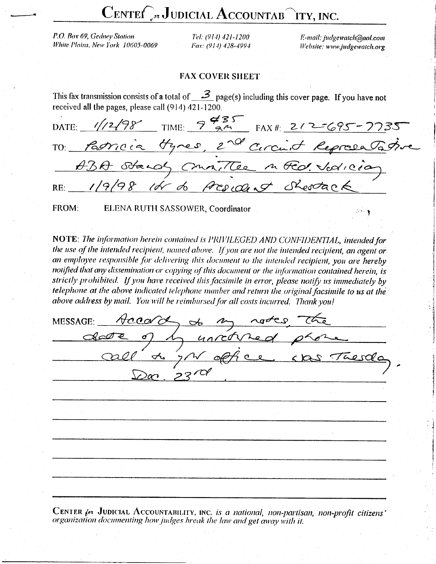## **CENTEL** or JUDICIAL ACCOUNTAB ITY, INC.

P.O. Box 69, Gedney Station White Plains, New York 10605-0069

Tel: (914) 421-1200 Fax: (914) 428-4994 E-mail: judgewatch@aol.com Website: www.judgewatch.org

## **FAX COVER SHEET**

This fax transmission consists of a total of  $\mathcal{Z}_{\text{page(s)}}$  including this cover page. If you have not received all the pages, please call  $(914)$  421-1200.

| DATE: $1/12/98$ TIME: $9\frac{485}{94}$ FAX# 212-695-7735 |  |  |  |
|-----------------------------------------------------------|--|--|--|
| TO: Patricia Hynes, 2nd circuit Representative            |  |  |  |
| ABA standy Connittee metal valicia                        |  |  |  |
| RE 1/9/98 1dr de President Shertack                       |  |  |  |
|                                                           |  |  |  |

FROM: ELENA RUTH SASSOWER, Coordinator

NOTE: The information herein contained is PRIVILEGED AND CONFIDENTIAL, intended for the use of the intended recipient, named above. If you are not the intended recipient, an agent or an employee responsible for delivering this document to the intended recipient, you are hereby notified that any dissemination or copying of this document or the information contained herein, is strictly prohibited. If you have received this facsimile in error, please notify us immediately by telephone at the above indicated telephone number and return the original facsimile to us at the above address by mail. You will be reimbursed for all costs incurred. Thank you!

| MESSAGE: Accord of my notes the                                                                                                                                                                                                                                                                                                                                          |                                                 |                   | call de ju office |  |  | Tuesda                                                                                                                                                                                                                                    |  |
|--------------------------------------------------------------------------------------------------------------------------------------------------------------------------------------------------------------------------------------------------------------------------------------------------------------------------------------------------------------------------|-------------------------------------------------|-------------------|-------------------|--|--|-------------------------------------------------------------------------------------------------------------------------------------------------------------------------------------------------------------------------------------------|--|
| $\mathcal{L}_\text{G}$ is the set of the set of the set of the set of the set of the set of the set of the set of the set of the set<br>a a construir a chann an chann an an Chann an Chann an Chann an Chann an Chann an Chann an Chann an Chann an C<br>Tha an t-ainm an Chann an Chann an Chann an Chann an Chann an Chann an Chann an Chann an Chann an Chann an Cha |                                                 | $\mathcal{D}a$ 23 |                   |  |  |                                                                                                                                                                                                                                           |  |
|                                                                                                                                                                                                                                                                                                                                                                          |                                                 |                   |                   |  |  |                                                                                                                                                                                                                                           |  |
| $\mathcal{L}_{\mathcal{A}}$ is the set of the set of the set of the set of the set of the set of the set of the set of the set of the set of the set of the set of the set of the set of the set of the set of the set of the set of the s<br>contractors in                                                                                                             | the contract of the contract of the contract of |                   |                   |  |  | $\mathcal{L}^{\mathcal{A}}$ and the set of the set of the set of the set of the set of the set of the set of the set of the set of the set of the set of the set of the set of the set of the set of the set of the set of the set of the |  |

CENTER for JUDICIAL ACCOUNTABILITY, INC. is a national, non-partisan, non-profit citizens' organization documenting how judges break the law and get away with it.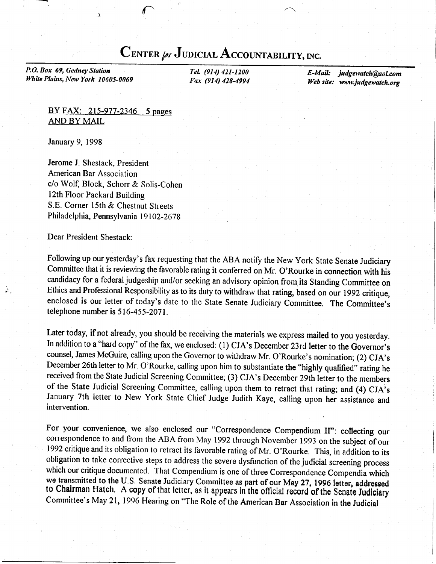## CENTER for JUDICIAL ACCOUNTABILITY, INC.

P.O. Box 69, Gedney Station White Plains, New York 10605-0069

Tel. (914) 421-1200 Fax (914) 428-4994 E-Mail: judgewatch@aol.com Web site: www.judgewatch.org

## BY FAX: 215-977-2346 5 pages AND BY MAIL

ir-

January 9, 1998

Jerome J. Shestack. President American Bar Association c/o Wolf, Block, Schorr & Solis-Cohen l2th Floor Packard Building S.E. Corner l5th & Chestnut Streets Philadelphia, Pennsylvania 19102-2678

Dear President Shestack:

Ĵ.

Following up our yesterday's fax requesting that the ABA notify the New York State Senate Judiciary Committee that it is reviewing the favorable rating it conferred on Mr. O'Rourke in connection with his candidacy for a federal judgeship and/or seeking an advisory opinion from its Standing Committee on Ethics and Professional Responsibility asto its duty to withdraw that rating, based on our 1992 critique, enclosed is our letter of today's date to the State Senate Judiciary Committee. The Committee's telephone number is 516-455-2071.

Later today, if not already, you should be receiving the materials we express mailed to you yesterday. In addition to a "hard copy'' of the fax, we enclosed: (l) CJA's December 23rd letter to the Governor's counsel, James McGuire, calling upon the Governor to withdraw Mr. O'Rourke's nomination; (2) CJA's December 26th letter to Mr. O'Rourke, calling upon him to substantiate the "highly qualified" rating he received from the State Judicial Screening Committee; (3) CJA's December 29th letter to the members of the State Judicial Screening Committee, calling upon them to retract that rating; and (4) CJA's January 7th letter to New York State Chief Judge Judith Kaye, calling upon her assistance and intervention.

For your convenience, we also enclosed our "Correspondence Compendium II": collecting our correspondence to and from the ABA from May 1992 through November 1993 on the subject of our 1992 critique and its obligation to retract its favorable rating of Mr. O'Rourke. This, in addition to its obligation to take corrective steps to address the severe dysfunction of the judicial screening process which our critique documented. That Compendium is one of three Correspondence Compendia which<br>we transmitted to the U.S. Senate Judiciary Committee as part of our May 27, 1996 letter, addressed to Chairman Hatch. A copy of that letter, as it appears in the official record of the Senate Judiciary Committee's May 21, 1996 Hearing on "The Role of the American Bar Association in the Judicial